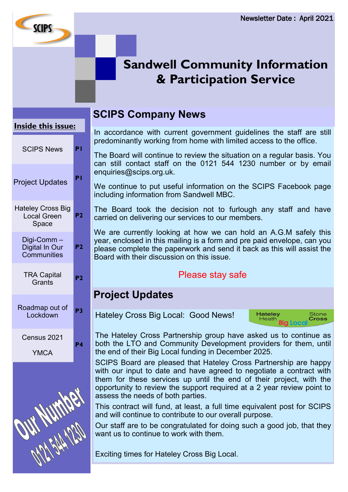# **Sandwell Community Information & Participation Service**

#### **Inside this issue:**

**SCIPS** 

| <b>SCIPS News</b>                                       | P١             |
|---------------------------------------------------------|----------------|
| <b>Project Updates</b>                                  | P١             |
| <b>Hateley Cross Big</b><br><b>Local Green</b><br>Space | P2             |
| Digi-Comm –<br>Digital In Our<br>Communities            | P <sub>2</sub> |
| <b>TRA Capital</b><br>Grants                            | P2             |
| Roadmap out of<br>Lockdown                              | P3             |
| Census 2021<br><b>YMCA</b>                              | P4             |
|                                                         |                |

## **SCIPS Company News**

In accordance with current government guidelines the staff are still predominantly working from home with limited access to the office.

The Board will continue to review the situation on a regular basis. You can still contact staff on the 0121 544 1230 number or by email enquiries@scips.org.uk.

We continue to put useful information on the SCIPS Facebook page including information from Sandwell MBC.

The Board took the decision not to furlough any staff and have carried on delivering our services to our members.

We are currently looking at how we can hold an A.G.M safely this year, enclosed in this mailing is a form and pre paid envelope, can you please complete the paperwork and send it back as this will assist the Board with their discussion on this issue.

## Please stay safe

## **Project Updates**

Hateley Cross Big Local: Good News!

**Hateley** Stone<br>Cross Heath<br>Heath<br>Rid

The Hateley Cross Partnership group have asked us to continue as both the LTO and Community Development providers for them, until the end of their Big Local funding in December 2025.

SCIPS Board are pleased that Hateley Cross Partnership are happy with our input to date and have agreed to negotiate a contract with them for these services up until the end of their project, with the opportunity to review the support required at a 2 year review point to assess the needs of both parties.

This contract will fund, at least, a full time equivalent post for SCIPS and will continue to contribute to our overall purpose.

Our staff are to be congratulated for doing such a good job, that they want us to continue to work with them.

Exciting times for Hateley Cross Big Local.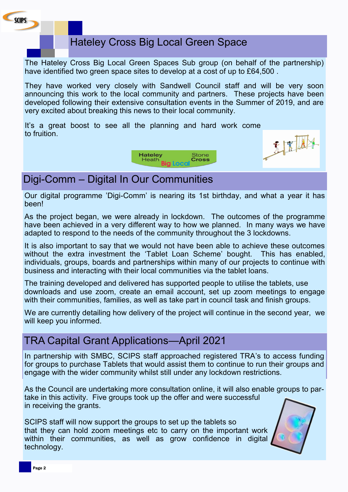

## Hateley Cross Big Local Green Space

The Hateley Cross Big Local Green Spaces Sub group (on behalf of the partnership) have identified two green space sites to develop at a cost of up to £64,500 .

They have worked very closely with Sandwell Council staff and will be very soon announcing this work to the local community and partners. These projects have been developed following their extensive consultation events in the Summer of 2019, and are very excited about breaking this news to their local community.

It's a great boost to see all the planning and hard work come to fruition.





## Digi-Comm – Digital In Our Communities

Our digital programme 'Digi-Comm' is nearing its 1st birthday, and what a year it has been!

As the project began, we were already in lockdown. The outcomes of the programme have been achieved in a very different way to how we planned. In many ways we have adapted to respond to the needs of the community throughout the 3 lockdowns.

It is also important to say that we would not have been able to achieve these outcomes without the extra investment the 'Tablet Loan Scheme' bought. This has enabled, individuals, groups, boards and partnerships within many of our projects to continue with business and interacting with their local communities via the tablet loans.

The training developed and delivered has supported people to utilise the tablets, use downloads and use zoom, create an email account, set up zoom meetings to engage with their communities, families, as well as take part in council task and finish groups.

We are currently detailing how delivery of the project will continue in the second year, we will keep you informed.

## TRA Capital Grant Applications—April 2021

In partnership with SMBC, SCIPS staff approached registered TRA's to access funding for groups to purchase Tablets that would assist them to continue to run their groups and engage with the wider community whilst still under any lockdown restrictions.

As the Council are undertaking more consultation online, it will also enable groups to partake in this activity. Five groups took up the offer and were successful in receiving the grants.

SCIPS staff will now support the groups to set up the tablets so that they can hold zoom meetings etc to carry on the important work within their communities, as well as grow confidence in digital technology.

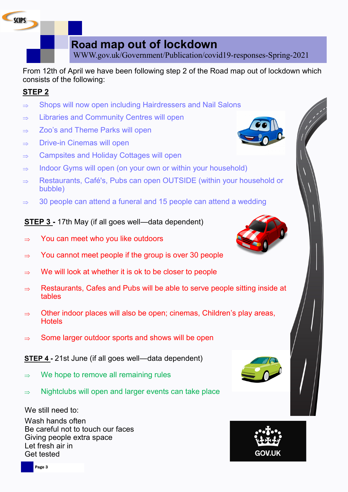**Road map out of lockdown**

WWW.gov.uk/Government/Publication/covid19-responses-Spring-2021

From 12th of April we have been following step 2 of the Road map out of lockdown which consists of the following:

#### **STEP 2**

**SCIPS** 

- $\Rightarrow$  Shops will now open including Hairdressers and Nail Salons
- $\Rightarrow$  Libraries and Community Centres will open
- $\Rightarrow$  Zoo's and Theme Parks will open
- $\Rightarrow$  Drive-in Cinemas will open
- $\Rightarrow$  Campsites and Holiday Cottages will open
- $\Rightarrow$  Indoor Gyms will open (on your own or within your household)
- $\Rightarrow$  Restaurants, Café's, Pubs can open OUTSIDE (within your household or bubble)
- $\Rightarrow$  30 people can attend a funeral and 15 people can attend a wedding

#### **STEP 3 -** 17th May (if all goes well—data dependent)

- $\Rightarrow$  You can meet who you like outdoors
- $\Rightarrow$  You cannot meet people if the group is over 30 people
- $\Rightarrow$  We will look at whether it is ok to be closer to people
- $\Rightarrow$  Restaurants, Cafes and Pubs will be able to serve people sitting inside at tables
- $\Rightarrow$  Other indoor places will also be open; cinemas, Children's play areas, **Hotels**
- $\Rightarrow$  Some larger outdoor sports and shows will be open

**STEP 4 -** 21st June (if all goes well—data dependent)

- $\Rightarrow$  We hope to remove all remaining rules
- $\Rightarrow$  Nightclubs will open and larger events can take place

We still need to:

Wash hands often Be careful not to touch our faces Giving people extra space Let fresh air in Get tested